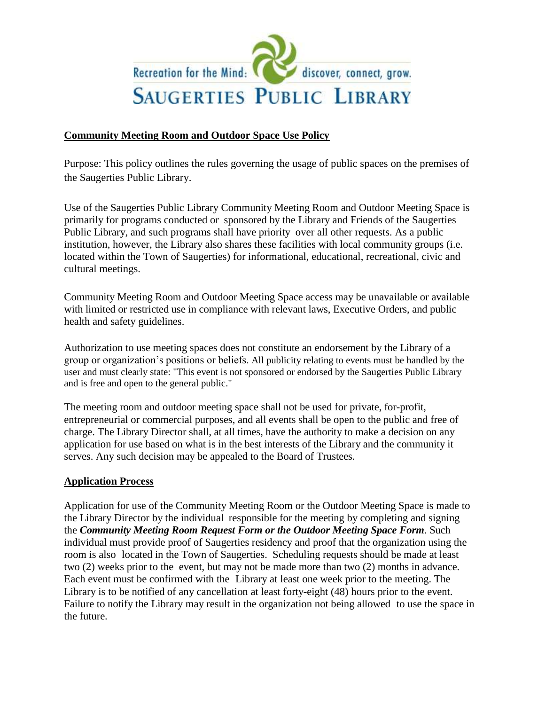

## **Community Meeting Room and Outdoor Space Use Policy**

Purpose: This policy outlines the rules governing the usage of public spaces on the premises of the Saugerties Public Library.

Use of the Saugerties Public Library Community Meeting Room and Outdoor Meeting Space is primarily for programs conducted or sponsored by the Library and Friends of the Saugerties Public Library, and such programs shall have priority over all other requests. As a public institution, however, the Library also shares these facilities with local community groups (i.e. located within the Town of Saugerties) for informational, educational, recreational, civic and cultural meetings.

Community Meeting Room and Outdoor Meeting Space access may be unavailable or available with limited or restricted use in compliance with relevant laws, Executive Orders, and public health and safety guidelines.

Authorization to use meeting spaces does not constitute an endorsement by the Library of a group or organization's positions or beliefs. All publicity relating to events must be handled by the user and must clearly state: "This event is not sponsored or endorsed by the Saugerties Public Library and is free and open to the general public."

The meeting room and outdoor meeting space shall not be used for private, for-profit, entrepreneurial or commercial purposes, and all events shall be open to the public and free of charge. The Library Director shall, at all times, have the authority to make a decision on any application for use based on what is in the best interests of the Library and the community it serves. Any such decision may be appealed to the Board of Trustees.

## **Application Process**

Application for use of the Community Meeting Room or the Outdoor Meeting Space is made to the Library Director by the individual responsible for the meeting by completing and signing the *Community Meeting Room Request Form or the Outdoor Meeting Space Form*. Such individual must provide proof of Saugerties residency and proof that the organization using the room is also located in the Town of Saugerties. Scheduling requests should be made at least two (2) weeks prior to the event, but may not be made more than two (2) months in advance. Each event must be confirmed with the Library at least one week prior to the meeting. The Library is to be notified of any cancellation at least forty-eight (48) hours prior to the event. Failure to notify the Library may result in the organization not being allowed to use the space in the future.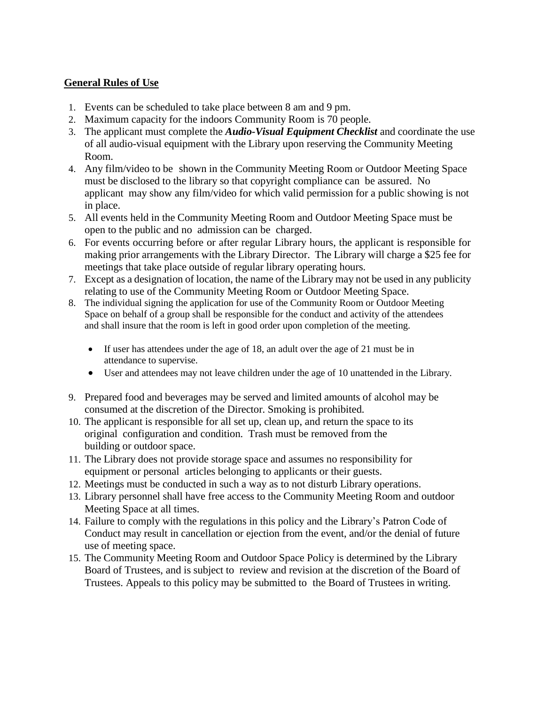## **General Rules of Use**

- 1. Events can be scheduled to take place between 8 am and 9 pm.
- 2. Maximum capacity for the indoors Community Room is 70 people.
- 3. The applicant must complete the *Audio-Visual Equipment Checklist* and coordinate the use of all audio-visual equipment with the Library upon reserving the Community Meeting Room.
- 4. Any film/video to be shown in the Community Meeting Room or Outdoor Meeting Space must be disclosed to the library so that copyright compliance can be assured. No applicant may show any film/video for which valid permission for a public showing is not in place.
- 5. All events held in the Community Meeting Room and Outdoor Meeting Space must be open to the public and no admission can be charged.
- 6. For events occurring before or after regular Library hours, the applicant is responsible for making prior arrangements with the Library Director. The Library will charge a \$25 fee for meetings that take place outside of regular library operating hours.
- 7. Except as a designation of location, the name of the Library may not be used in any publicity relating to use of the Community Meeting Room or Outdoor Meeting Space.
- 8. The individual signing the application for use of the Community Room or Outdoor Meeting Space on behalf of a group shall be responsible for the conduct and activity of the attendees and shall insure that the room is left in good order upon completion of the meeting.
	- If user has attendees under the age of 18, an adult over the age of 21 must be in attendance to supervise.
	- User and attendees may not leave children under the age of 10 unattended in the Library.
- 9. Prepared food and beverages may be served and limited amounts of alcohol may be consumed at the discretion of the Director. Smoking is prohibited.
- 10. The applicant is responsible for all set up, clean up, and return the space to its original configuration and condition. Trash must be removed from the building or outdoor space.
- 11. The Library does not provide storage space and assumes no responsibility for equipment or personal articles belonging to applicants or their guests.
- 12. Meetings must be conducted in such a way as to not disturb Library operations.
- 13. Library personnel shall have free access to the Community Meeting Room and outdoor Meeting Space at all times.
- 14. Failure to comply with the regulations in this policy and the Library's Patron Code of Conduct may result in cancellation or ejection from the event, and/or the denial of future use of meeting space.
- 15. The Community Meeting Room and Outdoor Space Policy is determined by the Library Board of Trustees, and is subject to review and revision at the discretion of the Board of Trustees. Appeals to this policy may be submitted to the Board of Trustees in writing.